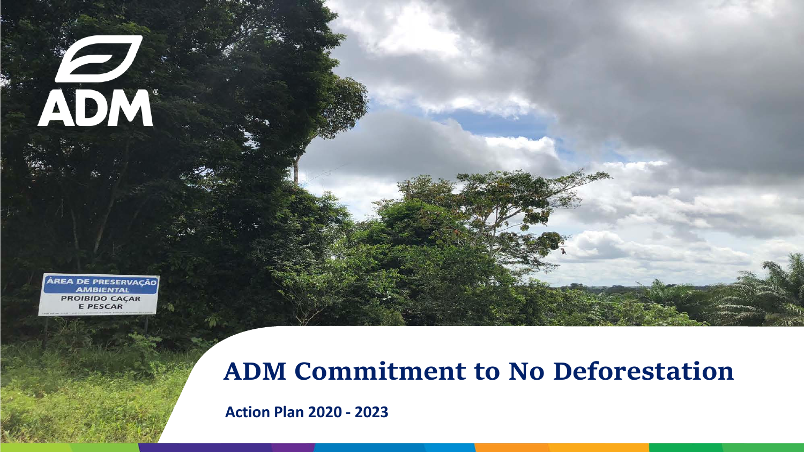**ÁREA DE PRESERVAÇÃO AMBIENTAL PROIBIDO CAÇAR E PESCAR** 

ADM

### **ADM Commitment to No Deforestation**

**Action Plan 2020 - 2023**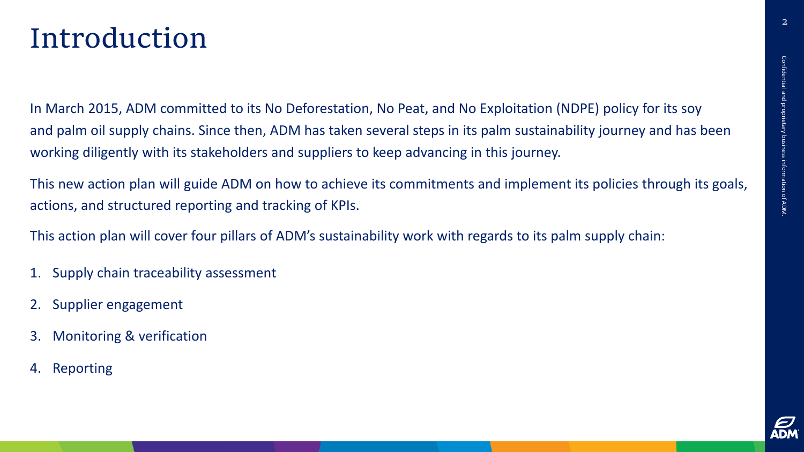### Introduction

In March 2015, ADM committed to its No Deforestation, No Peat, and No Exploitation (NDPE) policy for its soy and palm oil supply chains. Since then, ADM has taken several steps in its palm sustainability journey and has been working diligently with its stakeholders and suppliers to keep advancing in this journey.

This new action plan will guide ADM on how to achieve its commitments and implement its policies through its goals, actions, and structured reporting and tracking of KPIs.

This action plan will cover four pillars of ADM's sustainability work with regards to its palm supply chain:

- 1. Supply chain traceability assessment
- 2. Supplier engagement
- 3. Monitoring & verification
- 4. Reporting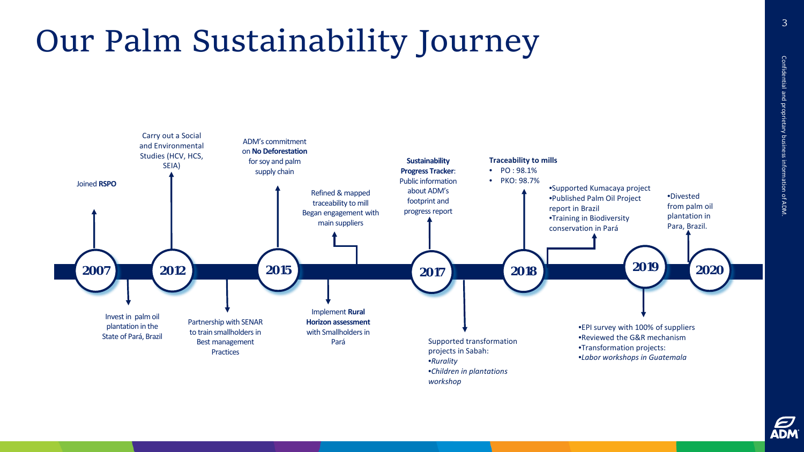# Our Palm Sustainability Journey



E<br>ADM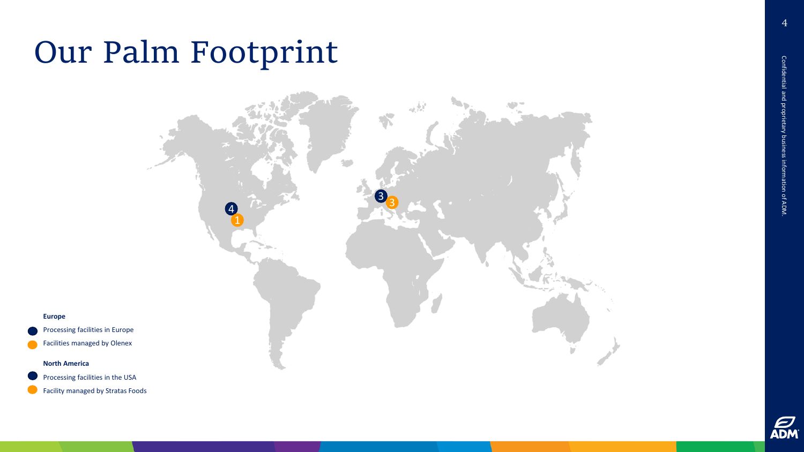### Our Palm Footprint



**Europe**

Processing facilities in Europe

Facilities managed by Olenex

#### **North America**

Processing facilities in the USA

Facility managed by Stratas Foods

4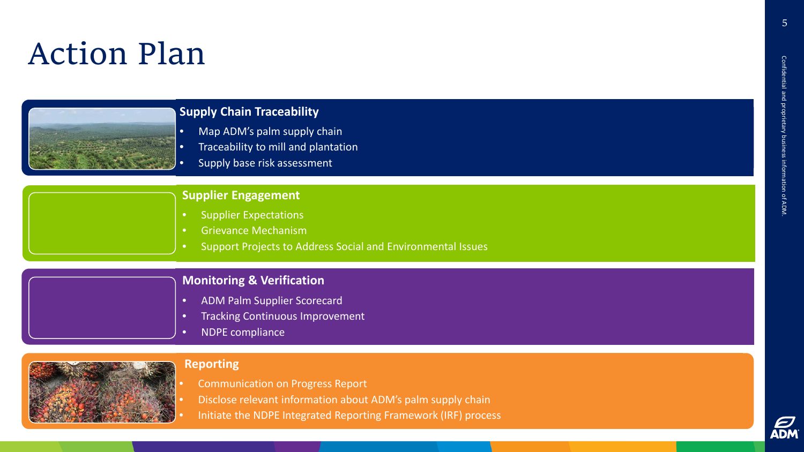### Action Plan



#### **Supply Chain Traceability**

- Map ADM's palm supply chain
- Traceability to mill and plantation
- Supply base risk assessment

#### **Supplier Engagement**

- Supplier Expectations
- Grievance Mechanism
- Support Projects to Address Social and Environmental Issues

#### **Monitoring & Verification**

- ADM Palm Supplier Scorecard
- Tracking Continuous Improvement
- NDPE compliance



#### **Reporting**

- Communication on Progress Report
- Disclose relevant information about ADM's palm supply chain
	- Initiate the NDPE Integrated Reporting Framework (IRF) process

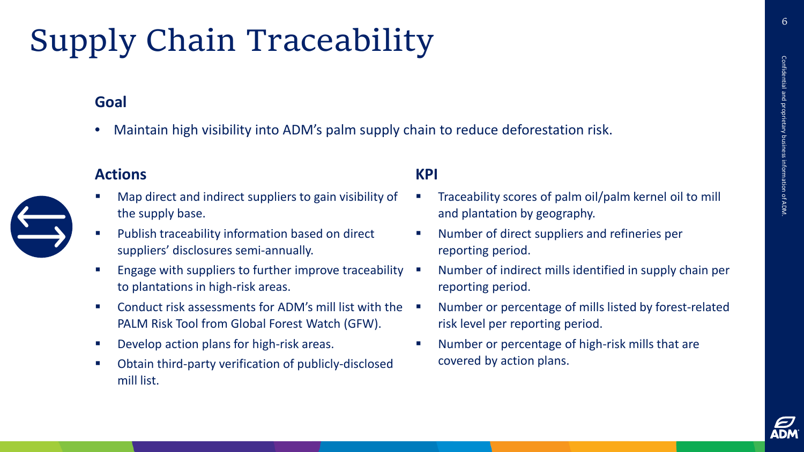# Supply Chain Traceability

#### **Goal**

• Maintain high visibility into ADM's palm supply chain to reduce deforestation risk.

#### **Actions**



- Publish traceability information based on direct suppliers' disclosures semi-annually.
- Engage with suppliers to further improve traceability to plantations in high-risk areas.
- Conduct risk assessments for ADM's mill list with the PALM Risk Tool from Global Forest Watch (GFW).
- Develop action plans for high-risk areas.
- Obtain third-party verification of publicly-disclosed mill list.

- Traceability scores of palm oil/palm kernel oil to mill and plantation by geography.
- Number of direct suppliers and refineries per reporting period.
- Number of indirect mills identified in supply chain per reporting period.
- Number or percentage of mills listed by forest-related risk level per reporting period.
- Number or percentage of high-risk mills that are covered by action plans.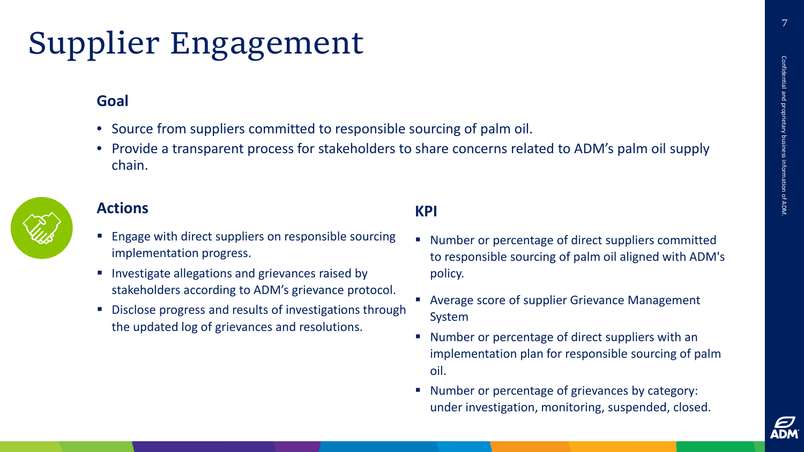7

## Supplier Engagement

#### **Goal**

- Source from suppliers committed to responsible sourcing of palm oil.
- Provide a transparent process for stakeholders to share concerns related to ADM's palm oil supply chain.



#### **Actions**

- **Engage with direct suppliers on responsible sourcing** implementation progress.
- Investigate allegations and grievances raised by stakeholders according to ADM's grievance protocol.
- Disclose progress and results of investigations through the updated log of grievances and resolutions.

- Number or percentage of direct suppliers committed to responsible sourcing of palm oil aligned with ADM's policy.
- Average score of supplier Grievance Management System
- Number or percentage of direct suppliers with an implementation plan for responsible sourcing of palm oil.
- Number or percentage of grievances by category: under investigation, monitoring, suspended, closed.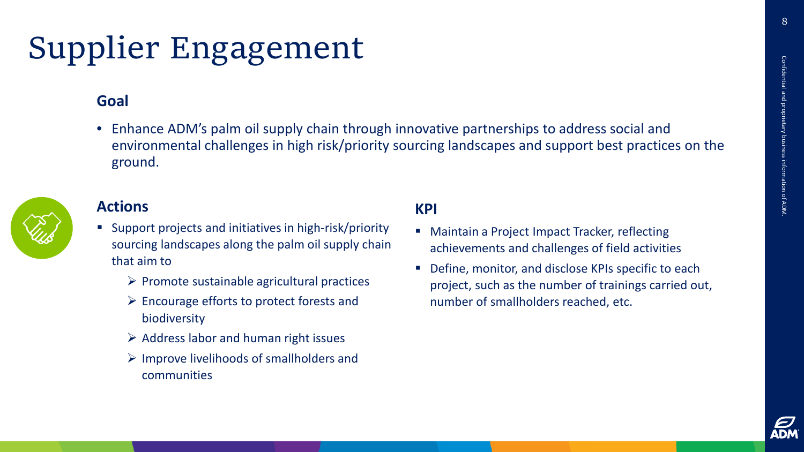### Supplier Engagement

#### **Goal**

• Enhance ADM's palm oil supply chain through innovative partnerships to address social and environmental challenges in high risk/priority sourcing landscapes and support best practices on the ground.



#### **Actions**

- Support projects and initiatives in high-risk/priority sourcing landscapes along the palm oil supply chain that aim to
	- $\triangleright$  Promote sustainable agricultural practices
	- $\triangleright$  Encourage efforts to protect forests and biodiversity
	- $\triangleright$  Address labor and human right issues
	- $\triangleright$  Improve livelihoods of smallholders and communities

- **Maintain a Project Impact Tracker, reflecting** achievements and challenges of field activities
- Define, monitor, and disclose KPIs specific to each project, such as the number of trainings carried out, number of smallholders reached, etc.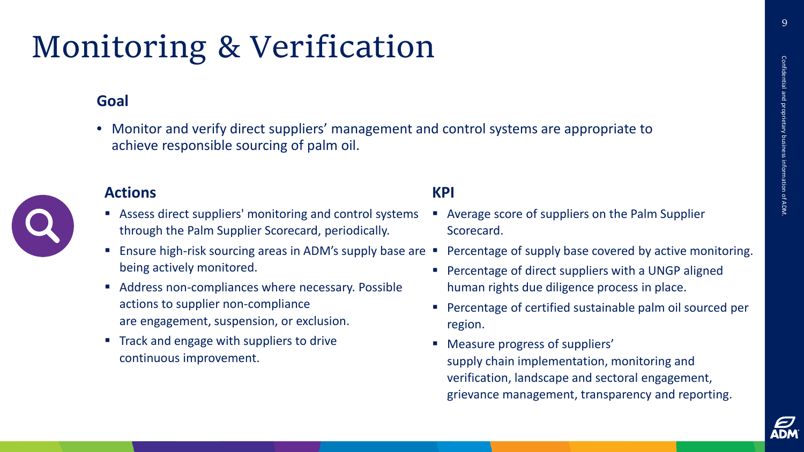9

## Monitoring & Verification

#### **Goal**

• Monitor and verify direct suppliers' management and control systems are appropriate to achieve responsible sourcing of palm oil.



#### **Actions**

- Assess direct suppliers' monitoring and control systems through the Palm Supplier Scorecard, periodically.
- Ensure high-risk sourcing areas in ADM's supply base are being actively monitored.
- Address non-compliances where necessary. Possible actions to supplier non-compliance are engagement, suspension, or exclusion.
- Track and engage with suppliers to drive continuous improvement.

- Average score of suppliers on the Palm Supplier Scorecard.
- Percentage of supply base covered by active monitoring.
- **Percentage of direct suppliers with a UNGP aligned** human rights due diligence process in place.
- Percentage of certified sustainable palm oil sourced per region.
- Measure progress of suppliers' supply chain implementation, monitoring and verification, landscape and sectoral engagement, grievance management, transparency and reporting.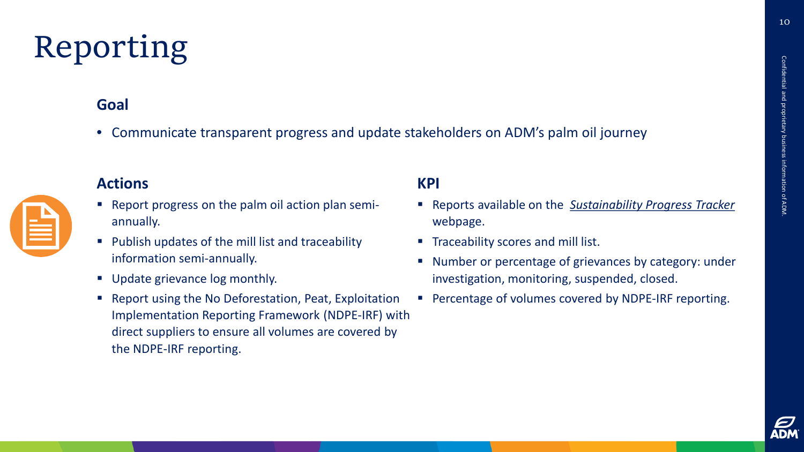10

## Reporting

#### **Goal**

• Communicate transparent progress and update stakeholders on ADM's palm oil journey

#### **Actions**



- Report progress on the palm oil action plan semiannually.
- **Publish updates of the mill list and traceability** information semi-annually.
- Update grievance log monthly.
- **Report using the No Deforestation, Peat, Exploitation** Implementation Reporting Framework (NDPE-IRF) with direct suppliers to ensure all volumes are covered by the NDPE-IRF reporting.

- Reports available on the *[Sustainability Progress Tracker](https://www.adm.com/sustainability/sustainability-progress-tracker)* webpage.
- **Traceability scores and mill list.**
- Number or percentage of grievances by category: under investigation, monitoring, suspended, closed.
- **Percentage of volumes covered by NDPE-IRF reporting.**